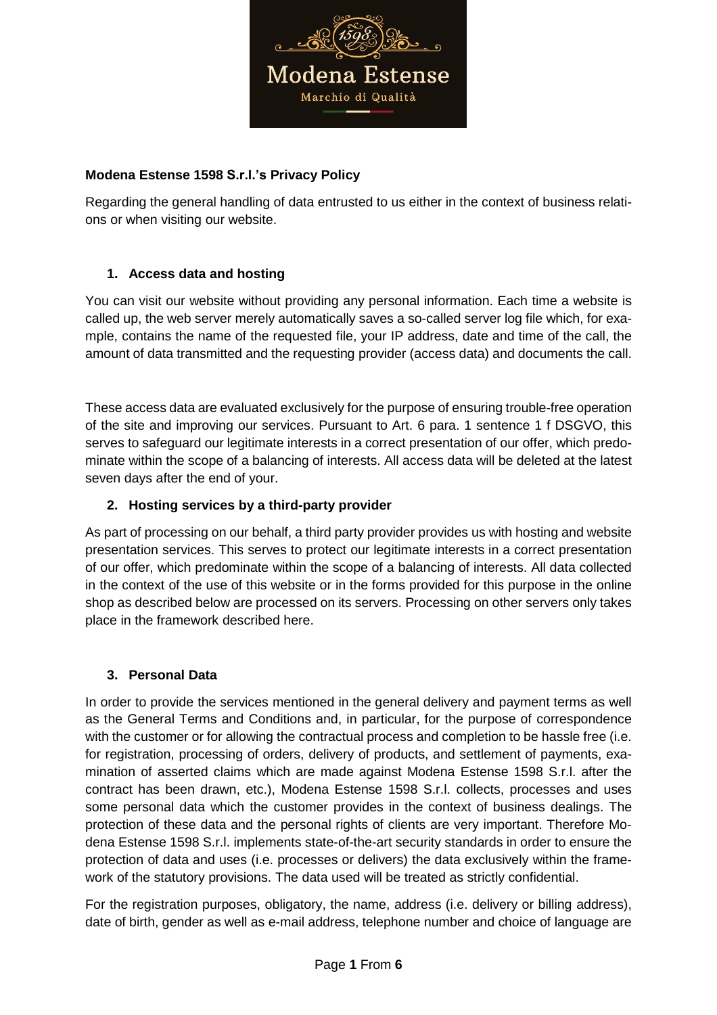

### **Modena Estense 1598 S.r.l.'s Privacy Policy**

Regarding the general handling of data entrusted to us either in the context of business relations or when visiting our website.

## **1. Access data and hosting**

You can visit our website without providing any personal information. Each time a website is called up, the web server merely automatically saves a so-called server log file which, for example, contains the name of the requested file, your IP address, date and time of the call, the amount of data transmitted and the requesting provider (access data) and documents the call.

These access data are evaluated exclusively for the purpose of ensuring trouble-free operation of the site and improving our services. Pursuant to Art. 6 para. 1 sentence 1 f DSGVO, this serves to safeguard our legitimate interests in a correct presentation of our offer, which predominate within the scope of a balancing of interests. All access data will be deleted at the latest seven days after the end of your.

### **2. Hosting services by a third-party provider**

As part of processing on our behalf, a third party provider provides us with hosting and website presentation services. This serves to protect our legitimate interests in a correct presentation of our offer, which predominate within the scope of a balancing of interests. All data collected in the context of the use of this website or in the forms provided for this purpose in the online shop as described below are processed on its servers. Processing on other servers only takes place in the framework described here.

### **3. Personal Data**

In order to provide the services mentioned in the general delivery and payment terms as well as the General Terms and Conditions and, in particular, for the purpose of correspondence with the customer or for allowing the contractual process and completion to be hassle free (i.e. for registration, processing of orders, delivery of products, and settlement of payments, examination of asserted claims which are made against Modena Estense 1598 S.r.l. after the contract has been drawn, etc.), Modena Estense 1598 S.r.l. collects, processes and uses some personal data which the customer provides in the context of business dealings. The protection of these data and the personal rights of clients are very important. Therefore Modena Estense 1598 S.r.l. implements state-of-the-art security standards in order to ensure the protection of data and uses (i.e. processes or delivers) the data exclusively within the framework of the statutory provisions. The data used will be treated as strictly confidential.

For the registration purposes, obligatory, the name, address (i.e. delivery or billing address), date of birth, gender as well as e-mail address, telephone number and choice of language are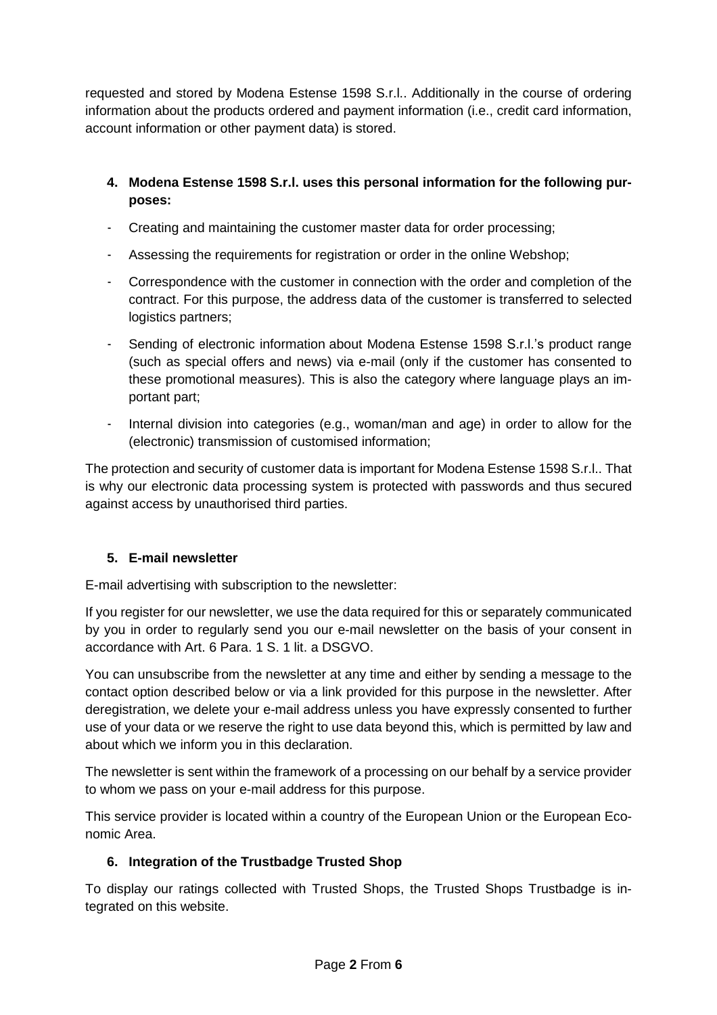requested and stored by Modena Estense 1598 S.r.l.. Additionally in the course of ordering information about the products ordered and payment information (i.e., credit card information, account information or other payment data) is stored.

- **4. Modena Estense 1598 S.r.l. uses this personal information for the following purposes:**
- Creating and maintaining the customer master data for order processing;
- Assessing the requirements for registration or order in the online Webshop;
- Correspondence with the customer in connection with the order and completion of the contract. For this purpose, the address data of the customer is transferred to selected logistics partners;
- Sending of electronic information about Modena Estense 1598 S.r.l.'s product range (such as special offers and news) via e-mail (only if the customer has consented to these promotional measures). This is also the category where language plays an important part;
- Internal division into categories (e.g., woman/man and age) in order to allow for the (electronic) transmission of customised information;

The protection and security of customer data is important for Modena Estense 1598 S.r.l.. That is why our electronic data processing system is protected with passwords and thus secured against access by unauthorised third parties.

# **5. E-mail newsletter**

E-mail advertising with subscription to the newsletter:

If you register for our newsletter, we use the data required for this or separately communicated by you in order to regularly send you our e-mail newsletter on the basis of your consent in accordance with Art. 6 Para. 1 S. 1 lit. a DSGVO.

You can unsubscribe from the newsletter at any time and either by sending a message to the contact option described below or via a link provided for this purpose in the newsletter. After deregistration, we delete your e-mail address unless you have expressly consented to further use of your data or we reserve the right to use data beyond this, which is permitted by law and about which we inform you in this declaration.

The newsletter is sent within the framework of a processing on our behalf by a service provider to whom we pass on your e-mail address for this purpose.

This service provider is located within a country of the European Union or the European Economic Area.

# **6. Integration of the Trustbadge Trusted Shop**

To display our ratings collected with Trusted Shops, the Trusted Shops Trustbadge is integrated on this website.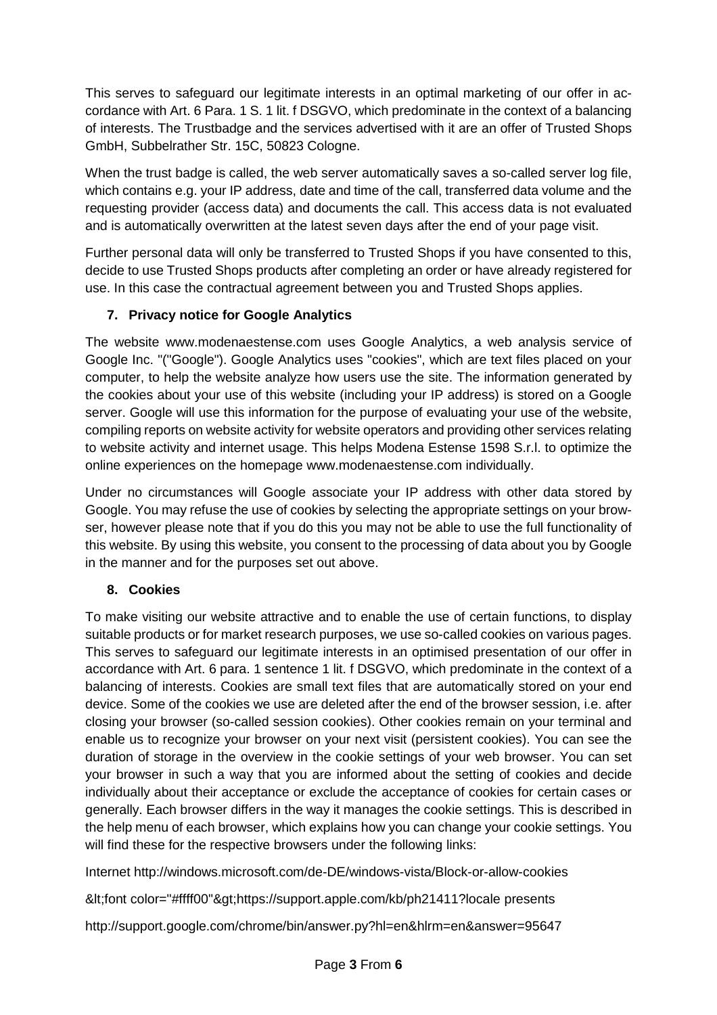This serves to safeguard our legitimate interests in an optimal marketing of our offer in accordance with Art. 6 Para. 1 S. 1 lit. f DSGVO, which predominate in the context of a balancing of interests. The Trustbadge and the services advertised with it are an offer of Trusted Shops GmbH, Subbelrather Str. 15C, 50823 Cologne.

When the trust badge is called, the web server automatically saves a so-called server log file, which contains e.g. your IP address, date and time of the call, transferred data volume and the requesting provider (access data) and documents the call. This access data is not evaluated and is automatically overwritten at the latest seven days after the end of your page visit.

Further personal data will only be transferred to Trusted Shops if you have consented to this, decide to use Trusted Shops products after completing an order or have already registered for use. In this case the contractual agreement between you and Trusted Shops applies.

# **7. Privacy notice for Google Analytics**

The website www.modenaestense.com uses Google Analytics, a web analysis service of Google Inc. "("Google"). Google Analytics uses "cookies", which are text files placed on your computer, to help the website analyze how users use the site. The information generated by the cookies about your use of this website (including your IP address) is stored on a Google server. Google will use this information for the purpose of evaluating your use of the website, compiling reports on website activity for website operators and providing other services relating to website activity and internet usage. This helps Modena Estense 1598 S.r.l. to optimize the online experiences on the homepage www.modenaestense.com individually.

Under no circumstances will Google associate your IP address with other data stored by Google. You may refuse the use of cookies by selecting the appropriate settings on your browser, however please note that if you do this you may not be able to use the full functionality of this website. By using this website, you consent to the processing of data about you by Google in the manner and for the purposes set out above.

# **8. Cookies**

To make visiting our website attractive and to enable the use of certain functions, to display suitable products or for market research purposes, we use so-called cookies on various pages. This serves to safeguard our legitimate interests in an optimised presentation of our offer in accordance with Art. 6 para. 1 sentence 1 lit. f DSGVO, which predominate in the context of a balancing of interests. Cookies are small text files that are automatically stored on your end device. Some of the cookies we use are deleted after the end of the browser session, i.e. after closing your browser (so-called session cookies). Other cookies remain on your terminal and enable us to recognize your browser on your next visit (persistent cookies). You can see the duration of storage in the overview in the cookie settings of your web browser. You can set your browser in such a way that you are informed about the setting of cookies and decide individually about their acceptance or exclude the acceptance of cookies for certain cases or generally. Each browser differs in the way it manages the cookie settings. This is described in the help menu of each browser, which explains how you can change your cookie settings. You will find these for the respective browsers under the following links:

Internet http://windows.microsoft.com/de-DE/windows-vista/Block-or-allow-cookies

<font color="#ffff00"&gt;https://support.apple.com/kb/ph21411?locale presents

http://support.google.com/chrome/bin/answer.py?hl=en&hlrm=en&answer=95647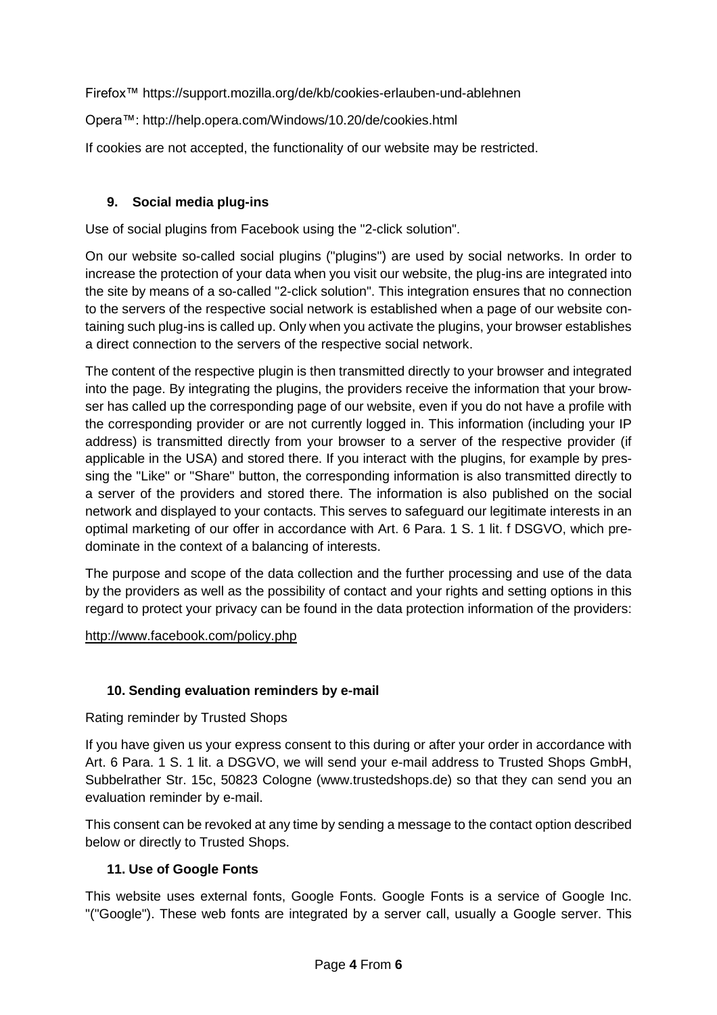Firefox™ https://support.mozilla.org/de/kb/cookies-erlauben-und-ablehnen

Opera™: http://help.opera.com/Windows/10.20/de/cookies.html

If cookies are not accepted, the functionality of our website may be restricted.

## **9. Social media plug-ins**

Use of social plugins from Facebook using the "2-click solution".

On our website so-called social plugins ("plugins") are used by social networks. In order to increase the protection of your data when you visit our website, the plug-ins are integrated into the site by means of a so-called "2-click solution". This integration ensures that no connection to the servers of the respective social network is established when a page of our website containing such plug-ins is called up. Only when you activate the plugins, your browser establishes a direct connection to the servers of the respective social network.

The content of the respective plugin is then transmitted directly to your browser and integrated into the page. By integrating the plugins, the providers receive the information that your browser has called up the corresponding page of our website, even if you do not have a profile with the corresponding provider or are not currently logged in. This information (including your IP address) is transmitted directly from your browser to a server of the respective provider (if applicable in the USA) and stored there. If you interact with the plugins, for example by pressing the "Like" or "Share" button, the corresponding information is also transmitted directly to a server of the providers and stored there. The information is also published on the social network and displayed to your contacts. This serves to safeguard our legitimate interests in an optimal marketing of our offer in accordance with Art. 6 Para. 1 S. 1 lit. f DSGVO, which predominate in the context of a balancing of interests.

The purpose and scope of the data collection and the further processing and use of the data by the providers as well as the possibility of contact and your rights and setting options in this regard to protect your privacy can be found in the data protection information of the providers:

<http://www.facebook.com/policy.php>

## **10. Sending evaluation reminders by e-mail**

Rating reminder by Trusted Shops

If you have given us your express consent to this during or after your order in accordance with Art. 6 Para. 1 S. 1 lit. a DSGVO, we will send your e-mail address to Trusted Shops GmbH, Subbelrather Str. 15c, 50823 Cologne (www.trustedshops.de) so that they can send you an evaluation reminder by e-mail.

This consent can be revoked at any time by sending a message to the contact option described below or directly to Trusted Shops.

## **11. Use of Google Fonts**

This website uses external fonts, Google Fonts. Google Fonts is a service of Google Inc. "("Google"). These web fonts are integrated by a server call, usually a Google server. This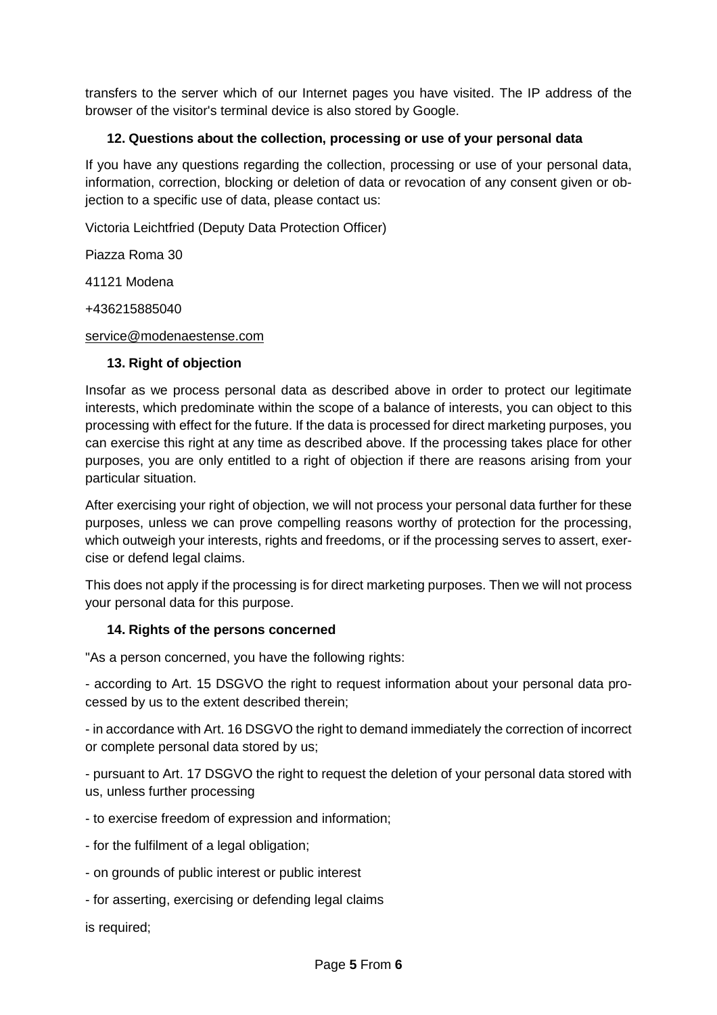transfers to the server which of our Internet pages you have visited. The IP address of the browser of the visitor's terminal device is also stored by Google.

### **12. Questions about the collection, processing or use of your personal data**

If you have any questions regarding the collection, processing or use of your personal data, information, correction, blocking or deletion of data or revocation of any consent given or objection to a specific use of data, please contact us:

Victoria Leichtfried (Deputy Data Protection Officer)

Piazza Roma 30

41121 Modena

+436215885040

#### [service@modenaestense.com](mailto:service@modenaestense.com)

### **13. Right of objection**

Insofar as we process personal data as described above in order to protect our legitimate interests, which predominate within the scope of a balance of interests, you can object to this processing with effect for the future. If the data is processed for direct marketing purposes, you can exercise this right at any time as described above. If the processing takes place for other purposes, you are only entitled to a right of objection if there are reasons arising from your particular situation.

After exercising your right of objection, we will not process your personal data further for these purposes, unless we can prove compelling reasons worthy of protection for the processing, which outweigh your interests, rights and freedoms, or if the processing serves to assert, exercise or defend legal claims.

This does not apply if the processing is for direct marketing purposes. Then we will not process your personal data for this purpose.

### **14. Rights of the persons concerned**

"As a person concerned, you have the following rights:

- according to Art. 15 DSGVO the right to request information about your personal data processed by us to the extent described therein;

- in accordance with Art. 16 DSGVO the right to demand immediately the correction of incorrect or complete personal data stored by us;

- pursuant to Art. 17 DSGVO the right to request the deletion of your personal data stored with us, unless further processing

- to exercise freedom of expression and information;
- for the fulfilment of a legal obligation;
- on grounds of public interest or public interest
- for asserting, exercising or defending legal claims

is required;